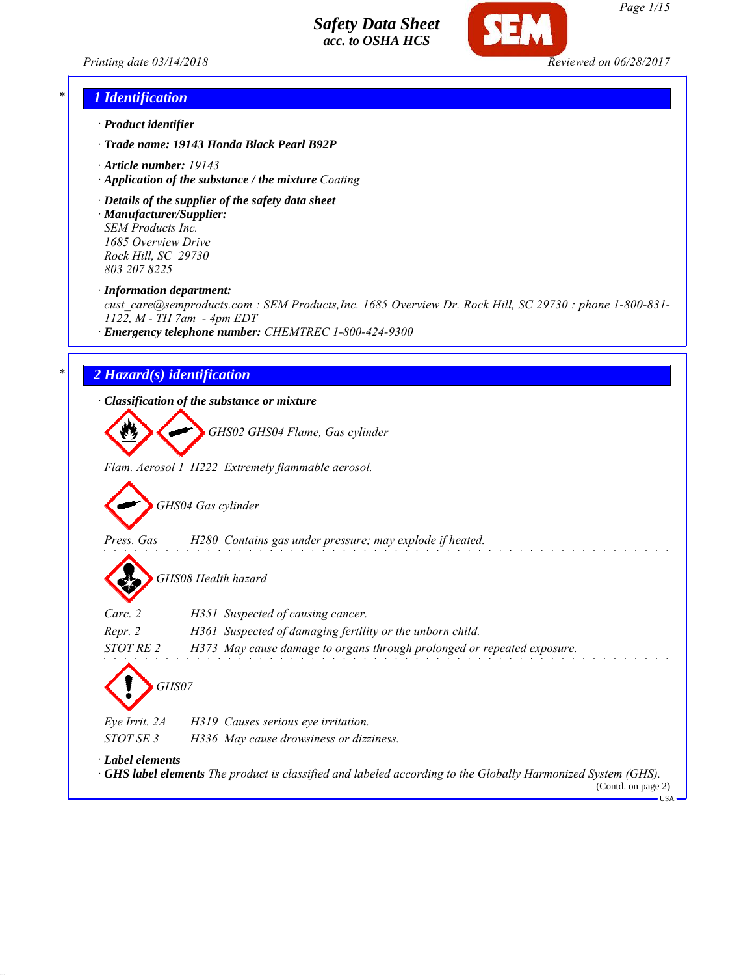



#### *\* 1 Identification*

- *· Product identifier*
- *· Trade name: 19143 Honda Black Pearl B92P*
- *· Article number: 19143*
- *· Application of the substance / the mixture Coating*
- *· Details of the supplier of the safety data sheet · Manufacturer/Supplier: SEM Products Inc.*

*1685 Overview Drive Rock Hill, SC 29730 803 207 8225*

*· Information department:*

*cust\_care@semproducts.com : SEM Products,Inc. 1685 Overview Dr. Rock Hill, SC 29730 : phone 1-800-831- 1122, M - TH 7am - 4pm EDT*

*· Emergency telephone number: CHEMTREC 1-800-424-9300*

## *\* 2 Hazard(s) identification*

*· Classification of the substance or mixture*

*GHS02 GHS04 Flame, Gas cylinder*

*Flam. Aerosol 1 H222 Extremely flammable aerosol.*

*GHS04 Gas cylinder*

*Press. Gas H280 Contains gas under pressure; may explode if heated.*

*GHS08 Health hazard*

| Carc. 2                         | H351 Suspected of causing cancer.                                       |
|---------------------------------|-------------------------------------------------------------------------|
| Repr. 2                         | H361 Suspected of damaging fertility or the unborn child.               |
| <i>STOT RE 2</i>                | H373 May cause damage to organs through prolonged or repeated exposure. |
| 〈!〉<br>GHS07                    |                                                                         |
| Eye Irrit. 2A                   | H319 Causes serious eye irritation.                                     |
| $C_{T}$ $C_{T}$ $C_{T}$ $T$ $T$ | $\frac{1}{2}$                                                           |

*STOT SE 3 H336 May cause drowsiness or dizziness. · Label elements · GHS label elements The product is classified and labeled according to the Globally Harmonized System (GHS).*

(Contd. on page 2) USA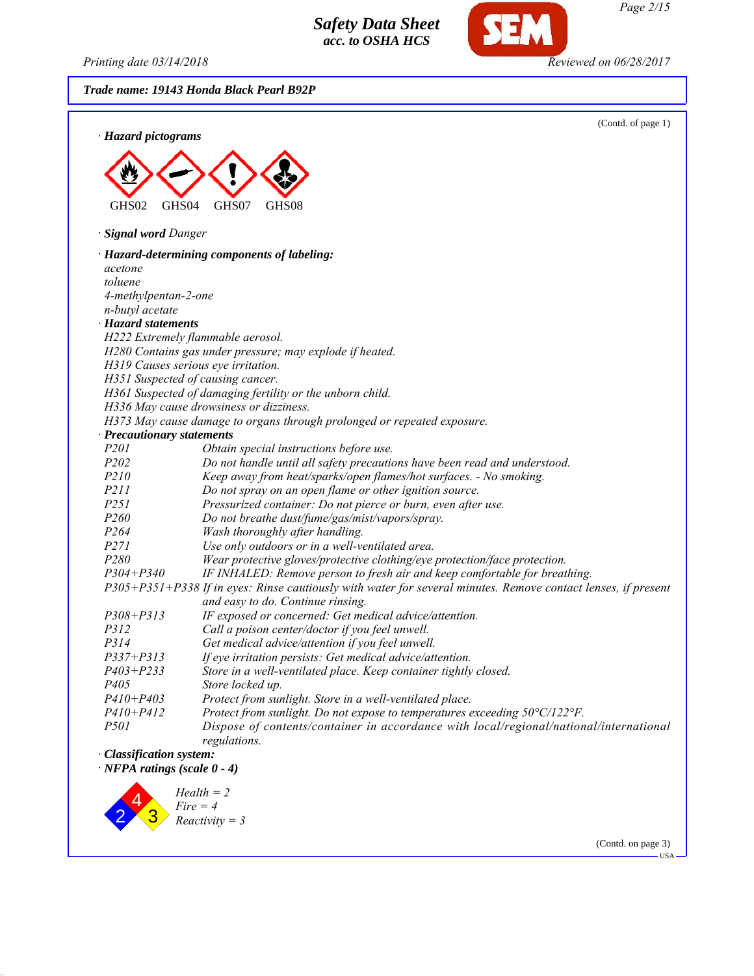*Printing date 03/14/2018 Reviewed on 06/28/2017*

*Trade name: 19143 Honda Black Pearl B92P*





(Contd. on page 3)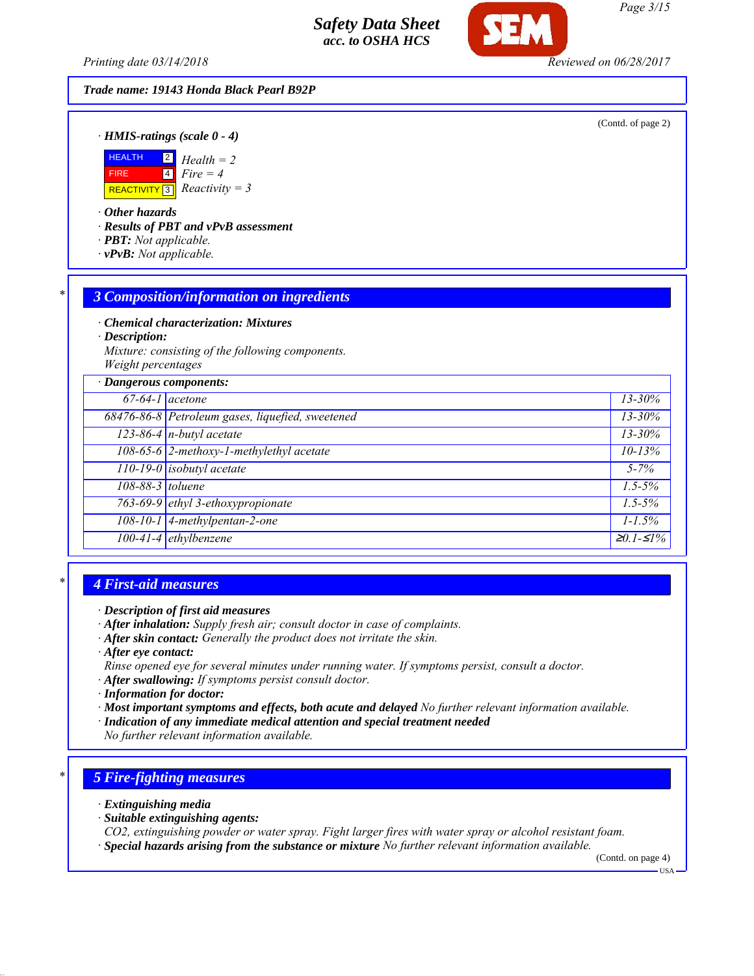*Printing date 03/14/2018 Reviewed on 06/28/2017*

#### *Trade name: 19143 Honda Black Pearl B92P*

(Contd. of page 2)

*· HMIS-ratings (scale 0 - 4)*



*· Other hazards*

*· Results of PBT and vPvB assessment*

- *· PBT: Not applicable.*
- *· vPvB: Not applicable.*

#### *\* 3 Composition/information on ingredients*

*· Chemical characterization: Mixtures*

*· Description:*

*Mixture: consisting of the following components. Weight percentages*

|                   | · Dangerous components:                          |                                 |
|-------------------|--------------------------------------------------|---------------------------------|
| $67-64-1$ acetone |                                                  | $13 - 30\%$                     |
|                   | 68476-86-8 Petroleum gases, liquefied, sweetened | $13 - 30\%$                     |
|                   | $123-86-4$ n-butyl acetate                       | $13 - 30\%$                     |
|                   | 108-65-6 2-methoxy-1-methylethyl acetate         | $10 - 13%$                      |
|                   | $110-19-0$ isobutyl acetate                      | $5 - 7\%$                       |
| 108-88-3 toluene  |                                                  | $1.5 - 5\%$                     |
|                   | 763-69-9 ethyl 3-ethoxypropionate                | $1.5 - 5\%$                     |
|                   | $108-10-1$ 4-methylpentan-2-one                  | $1 - 1.5\%$                     |
|                   | 100-41-4 ethylbenzene                            | $\overline{\geq}0.1 - \leq 1\%$ |

## *\* 4 First-aid measures*

- *· After inhalation: Supply fresh air; consult doctor in case of complaints.*
- *· After skin contact: Generally the product does not irritate the skin.*
- *· After eye contact:*
- *Rinse opened eye for several minutes under running water. If symptoms persist, consult a doctor.*
- *· After swallowing: If symptoms persist consult doctor.*
- *· Information for doctor:*
- *· Most important symptoms and effects, both acute and delayed No further relevant information available.*
- *· Indication of any immediate medical attention and special treatment needed*
- *No further relevant information available.*

# *\* 5 Fire-fighting measures*

- *· Extinguishing media*
- *· Suitable extinguishing agents:*
- *CO2, extinguishing powder or water spray. Fight larger fires with water spray or alcohol resistant foam.*
- *· Special hazards arising from the substance or mixture No further relevant information available.*

(Contd. on page 4)

USA

*Page 3/15*

*<sup>·</sup> Description of first aid measures*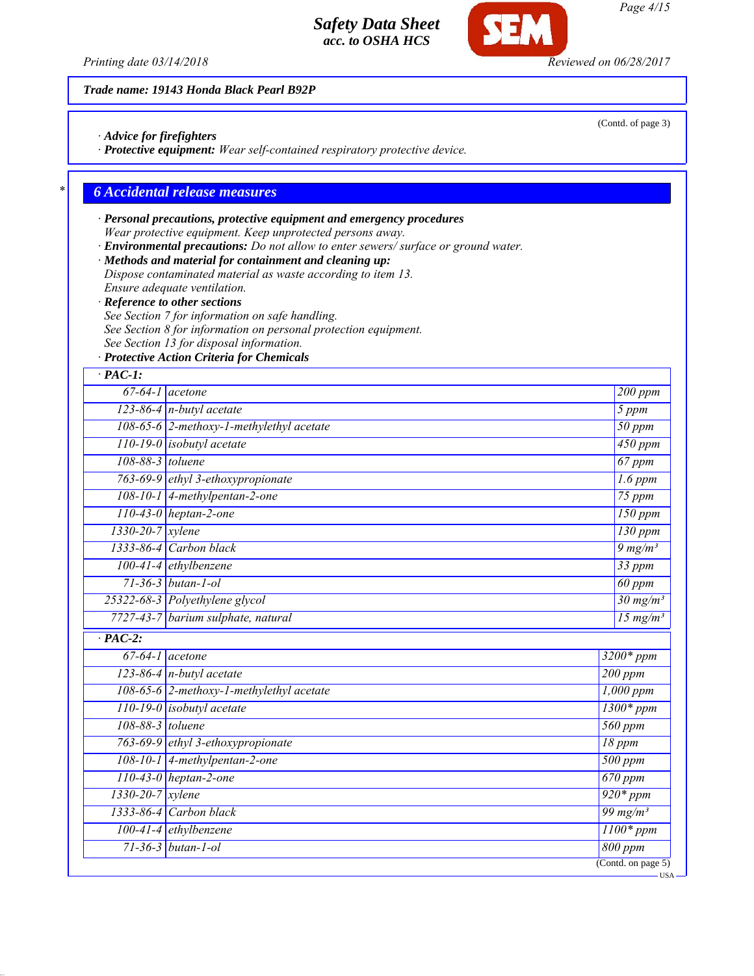

*Printing date 03/14/2018 Reviewed on 06/28/2017*

*Trade name: 19143 Honda Black Pearl B92P*

*· Advice for firefighters*

*· Protective equipment: Wear self-contained respiratory protective device.*

# *\* 6 Accidental release measures*

# *· Personal precautions, protective equipment and emergency procedures Wear protective equipment. Keep unprotected persons away.*

*· Environmental precautions: Do not allow to enter sewers/ surface or ground water.*

*· Methods and material for containment and cleaning up:*

*Dispose contaminated material as waste according to item 13. Ensure adequate ventilation.*

*· Reference to other sections*

*See Section 7 for information on safe handling.*

*See Section 8 for information on personal protection equipment.*

*See Section 13 for disposal information.*

*· Protective Action Criteria for Chemicals*

| $\cdot$ PAC-1:         |                                          |                                        |
|------------------------|------------------------------------------|----------------------------------------|
|                        | $67-64-1$ acetone                        | 200 ppm                                |
|                        | $123-86-4$ n-butyl acetate<br>5 ppm      |                                        |
|                        | 108-65-6 2-methoxy-1-methylethyl acetate |                                        |
|                        | 110-19-0 isobutyl acetate                | $\overline{450}$ ppm                   |
| 108-88-3 toluene       |                                          | $67$ ppm                               |
|                        | 763-69-9 ethyl 3-ethoxypropionate        | $\overline{1.6}$ ppm                   |
|                        | 108-10-1 4-methylpentan-2-one            | $75$ ppm                               |
|                        | $110-43-0$ heptan-2-one                  | $150$ ppm                              |
| $1330 - 20 - 7$ xylene |                                          | $130$ ppm                              |
|                        | 1333-86-4 Carbon black                   | $9 \frac{mg}{m^3}$                     |
|                        | $100-41-4$ ethylbenzene                  | 33 ppm                                 |
|                        | $71 - 36 - 3$ butan-1-ol                 | 60 ppm                                 |
|                        | 25322-68-3 Polyethylene glycol           | $\frac{30 \text{ mg}}{m^3}$            |
|                        | 7727-43-7 barium sulphate, natural       | $15 \text{ mg/m}^3$                    |
| $\overline{PAC-2}$ :   |                                          |                                        |
|                        | $\overline{67-64-1}$ acetone             | $3200*ppm$                             |
|                        | $123-86-4$ n-butyl acetate               | $200$ ppm                              |
|                        | 108-65-6 2-methoxy-1-methylethyl acetate | $1,000$ ppm                            |
|                        | $110-19-0$ isobutyl acetate              | $1300*ppm$                             |
| 108-88-3 toluene       |                                          | 560 ppm                                |
|                        | 763-69-9 ethyl 3-ethoxypropionate        | $18$ ppm                               |
|                        | 108-10-1 4-methylpentan-2-one            | $500$ ppm                              |
|                        | $110-43-0$ heptan-2-one                  | $\overline{670}$ ppm                   |
| $1330 - 20 - 7$ xylene |                                          | $920*ppm$                              |
|                        | 1333-86-4 Carbon black                   | $\frac{99 \text{ mg/m}^3}{2}$          |
|                        | $100-41-4$ ethylbenzene                  | $1100*ppm$                             |
|                        | $71 - 36 - 3$ butan-1-ol                 | 800 ppm                                |
|                        |                                          | $\overline{(\text{Contd. on page 5})}$ |

(Contd. of page 3)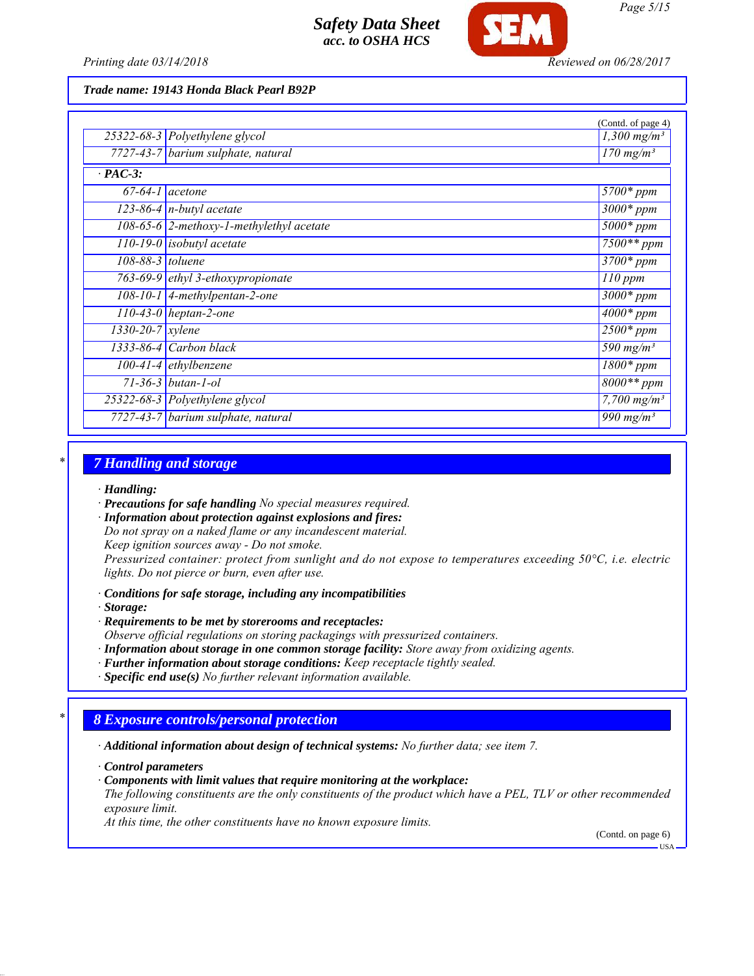

*Trade name: 19143 Honda Black Pearl B92P*

|                        |                                          | (Contd. of page 4)           |
|------------------------|------------------------------------------|------------------------------|
|                        | 25322-68-3 Polyethylene glycol           | $1,300$ mg/m <sup>3</sup>    |
|                        | 7727-43-7 barium sulphate, natural       | $\frac{170 \text{ mg}}{m^3}$ |
| $\cdot$ PAC-3:         |                                          |                              |
|                        | $67-64-1$ acetone                        | $5700*$ ppm                  |
|                        | $\overline{123-86-4}$ n-butyl acetate    | $\overline{3000}$ * ppm      |
|                        | 108-65-6 2-methoxy-1-methylethyl acetate | $5000*$ ppm                  |
|                        | $\overline{110}$ -19-0 isobutyl acetate  | $7500**$ ppm                 |
| 108-88-3 toluene       |                                          | $3700*$ ppm                  |
|                        | 763-69-9 ethyl 3-ethoxypropionate        | $110$ ppm                    |
|                        | $108-10-1$ 4-methylpentan-2-one          | $3000*$ ppm                  |
|                        | $\overline{110}$ -43-0 heptan-2-one      | $\frac{4000*}{2}$ ppm        |
| $1330 - 20 - 7$ xylene |                                          | $2500*ppm$                   |
|                        | $1333-86-4$ Carbon black                 | 590 mg/ $m^3$                |
|                        | $100-41-4$ ethylbenzene                  | $1800*$ ppm                  |
|                        | $71 - 36 - 3$ butan-1-ol                 | $\overline{8000}$ ** ppm     |
|                        | 25322-68-3 Polyethylene glycol           | $7,700$ mg/m <sup>3</sup>    |
|                        | 7727-43-7 barium sulphate, natural       | 990 mg/m <sup>3</sup>        |

#### *\* 7 Handling and storage*

*· Handling:*

*· Precautions for safe handling No special measures required.*

*· Information about protection against explosions and fires:*

*Do not spray on a naked flame or any incandescent material.*

*Keep ignition sources away - Do not smoke.*

*Pressurized container: protect from sunlight and do not expose to temperatures exceeding 50°C, i.e. electric lights. Do not pierce or burn, even after use.*

*· Conditions for safe storage, including any incompatibilities*

*· Storage:*

*· Requirements to be met by storerooms and receptacles:*

*Observe official regulations on storing packagings with pressurized containers.*

- *· Information about storage in one common storage facility: Store away from oxidizing agents.*
- *· Further information about storage conditions: Keep receptacle tightly sealed.*

*· Specific end use(s) No further relevant information available.*

## *\* 8 Exposure controls/personal protection*

*· Additional information about design of technical systems: No further data; see item 7.*

*· Control parameters*

*· Components with limit values that require monitoring at the workplace:*

*The following constituents are the only constituents of the product which have a PEL, TLV or other recommended exposure limit.*

*At this time, the other constituents have no known exposure limits.*

(Contd. on page 6) USA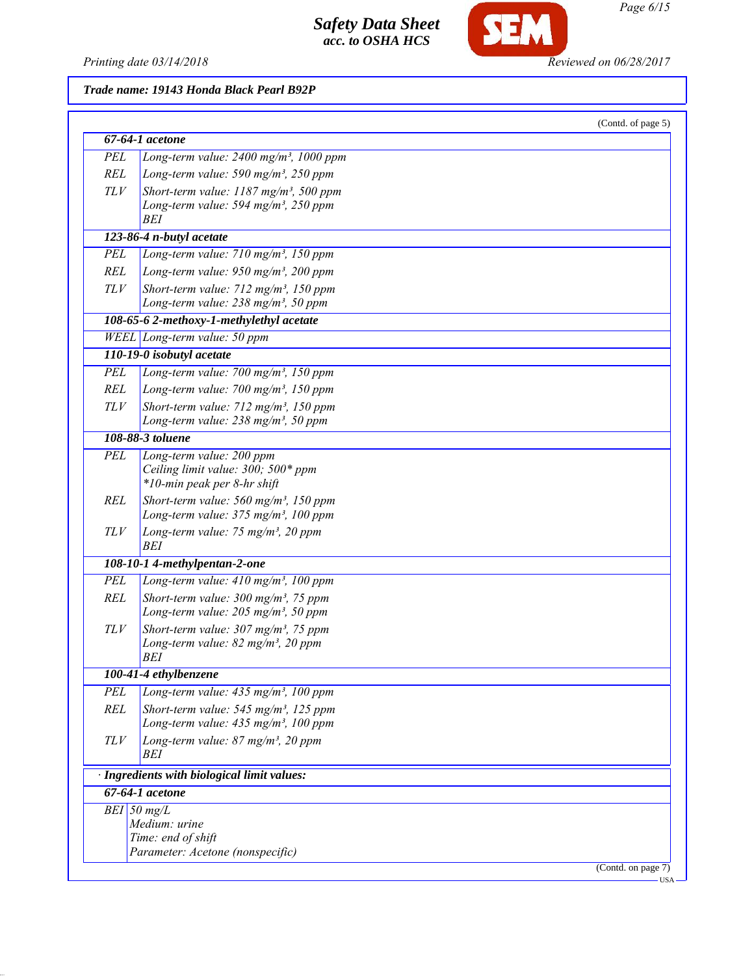

SEM

## *Trade name: 19143 Honda Black Pearl B92P*

|            | 67-64-1 acetone                                         |  |
|------------|---------------------------------------------------------|--|
|            |                                                         |  |
| PEL        | Long-term value: 2400 mg/m <sup>3</sup> , 1000 ppm      |  |
| REL        | Long-term value: 590 mg/m <sup>3</sup> , 250 ppm        |  |
| TLV        | Short-term value: $1187$ mg/m <sup>3</sup> , 500 ppm    |  |
|            | Long-term value: 594 mg/m <sup>3</sup> , 250 ppm<br>BEI |  |
|            |                                                         |  |
|            | $\overline{123-86-4}$ n-butyl acetate                   |  |
| PEL        | Long-term value: $710$ mg/m <sup>3</sup> , 150 ppm      |  |
| REL        | Long-term value: 950 mg/m <sup>3</sup> , 200 ppm        |  |
| TLV        | Short-term value: $712$ mg/m <sup>3</sup> , 150 ppm     |  |
|            | Long-term value: 238 mg/m <sup>3</sup> , 50 ppm         |  |
|            | 108-65-6 2-methoxy-1-methylethyl acetate                |  |
|            | WEEL Long-term value: 50 ppm                            |  |
|            | 110-19-0 isobutyl acetate                               |  |
| PEL        | Long-term value: $700$ mg/m <sup>3</sup> , 150 ppm      |  |
| REL        | Long-term value: $700$ mg/m <sup>3</sup> , 150 ppm      |  |
| TLV        | Short-term value: 712 mg/m <sup>3</sup> , 150 ppm       |  |
|            | Long-term value: $238$ mg/m <sup>3</sup> , 50 ppm       |  |
|            | 108-88-3 toluene                                        |  |
| <b>PEL</b> | Long-term value: 200 ppm                                |  |
|            | Ceiling limit value: 300; 500* ppm                      |  |
|            | *10-min peak per 8-hr shift                             |  |
| REL        | Short-term value: $560$ mg/m <sup>3</sup> , 150 ppm     |  |
|            | Long-term value: 375 mg/m <sup>3</sup> , 100 ppm        |  |
| TLV        | Long-term value: 75 mg/m <sup>3</sup> , 20 ppm          |  |
|            | <b>BEI</b>                                              |  |
|            | 108-10-1 4-methylpentan-2-one                           |  |
| <b>PEL</b> | Long-term value: 410 mg/m <sup>3</sup> , 100 ppm        |  |
| <b>REL</b> | Short-term value: $300 \text{ mg/m}^3$ , 75 ppm         |  |
|            | Long-term value: $205$ mg/m <sup>3</sup> , 50 ppm       |  |
| TLV        | Short-term value: 307 mg/m <sup>3</sup> , 75 ppm        |  |
|            | Long-term value: $82$ mg/m <sup>3</sup> , 20 ppm        |  |
|            | BEI                                                     |  |
|            | 100-41-4 ethylbenzene                                   |  |
| PEL        | Long-term value: 435 mg/m <sup>3</sup> , 100 ppm        |  |
| <b>REL</b> | Short-term value: $545$ mg/m <sup>3</sup> , 125 ppm     |  |
|            | Long-term value: 435 mg/m <sup>3</sup> , 100 ppm        |  |
| $TLV$      | Long-term value: 87 mg/m <sup>3</sup> , 20 ppm<br>BEI   |  |
|            | · Ingredients with biological limit values:             |  |
|            | 67-64-1 acetone                                         |  |
|            | $BEI$ 50 mg/L                                           |  |
|            | Medium: urine                                           |  |
|            | Time: end of shift                                      |  |
|            | Parameter: Acetone (nonspecific)                        |  |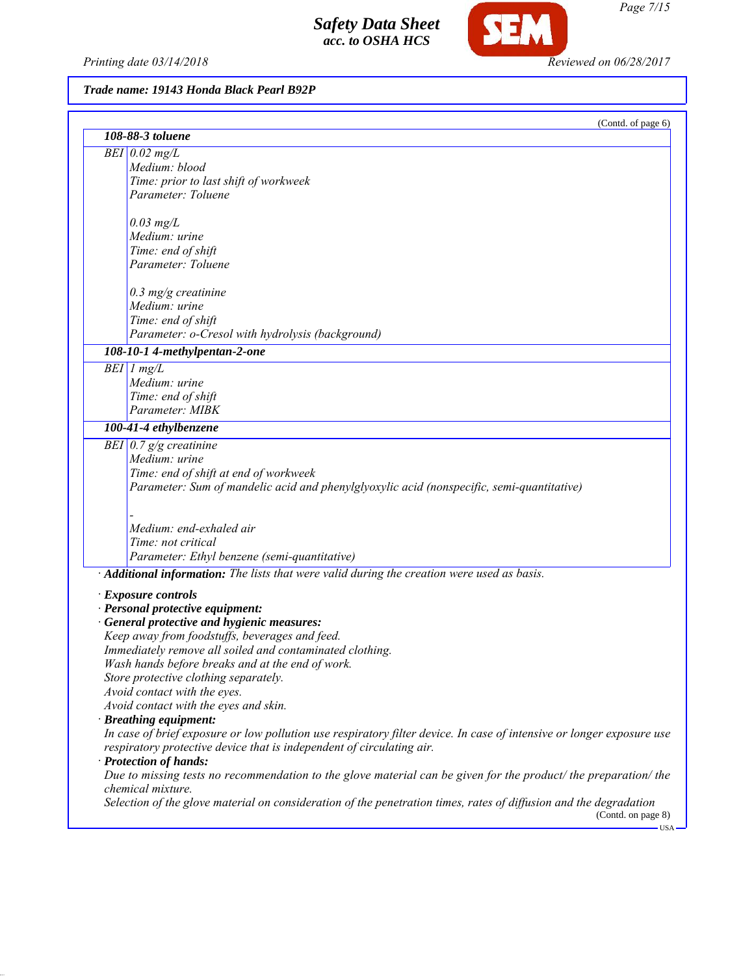*Printing date 03/14/2018 Reviewed on 06/28/2017*

SEM

# *Trade name: 19143 Honda Black Pearl B92P*

| (Contd. of page 6)<br>108-88-3 toluene                                                                                                  |
|-----------------------------------------------------------------------------------------------------------------------------------------|
|                                                                                                                                         |
| $BEI$ 0.02 mg/L                                                                                                                         |
| Medium: blood                                                                                                                           |
| Time: prior to last shift of workweek                                                                                                   |
| Parameter: Toluene                                                                                                                      |
| $0.03$ mg/L                                                                                                                             |
| Medium: urine                                                                                                                           |
| Time: end of shift                                                                                                                      |
| Parameter: Toluene                                                                                                                      |
| $0.3$ mg/g creatinine                                                                                                                   |
| Medium: urine                                                                                                                           |
| Time: end of shift                                                                                                                      |
| Parameter: o-Cresol with hydrolysis (background)                                                                                        |
| 108-10-1 4-methylpentan-2-one                                                                                                           |
| $BEI$ 1 mg/L                                                                                                                            |
| Medium: urine                                                                                                                           |
| Time: end of shift                                                                                                                      |
| Parameter: MIBK                                                                                                                         |
| 100-41-4 ethylbenzene                                                                                                                   |
| BEI $0.7$ g/g creatinine                                                                                                                |
| Medium: urine                                                                                                                           |
| Time: end of shift at end of workweek                                                                                                   |
| Parameter: Sum of mandelic acid and phenylglyoxylic acid (nonspecific, semi-quantitative)                                               |
|                                                                                                                                         |
| Medium: end-exhaled air                                                                                                                 |
| Time: not critical                                                                                                                      |
| Parameter: Ethyl benzene (semi-quantitative)                                                                                            |
| · Additional information: The lists that were valid during the creation were used as basis.                                             |
| · Exposure controls                                                                                                                     |
| · Personal protective equipment:                                                                                                        |
| · General protective and hygienic measures:                                                                                             |
| Keep away from foodstuffs, beverages and feed.                                                                                          |
| Immediately remove all soiled and contaminated clothing.                                                                                |
| Wash hands before breaks and at the end of work.                                                                                        |
| Store protective clothing separately.                                                                                                   |
| Avoid contact with the eyes.                                                                                                            |
| Avoid contact with the eyes and skin.                                                                                                   |
| · Breathing equipment:                                                                                                                  |
| In case of brief exposure or low pollution use respiratory filter device. In case of intensive or longer exposure use                   |
| respiratory protective device that is independent of circulating air.<br>· Protection of hands:                                         |
| Due to missing tests no recommendation to the glove material can be given for the product/ the preparation/ the                         |
| chemical mixture.                                                                                                                       |
| Selection of the glove material on consideration of the penetration times, rates of diffusion and the degradation<br>(Contd. on page 8) |

*Page 7/15*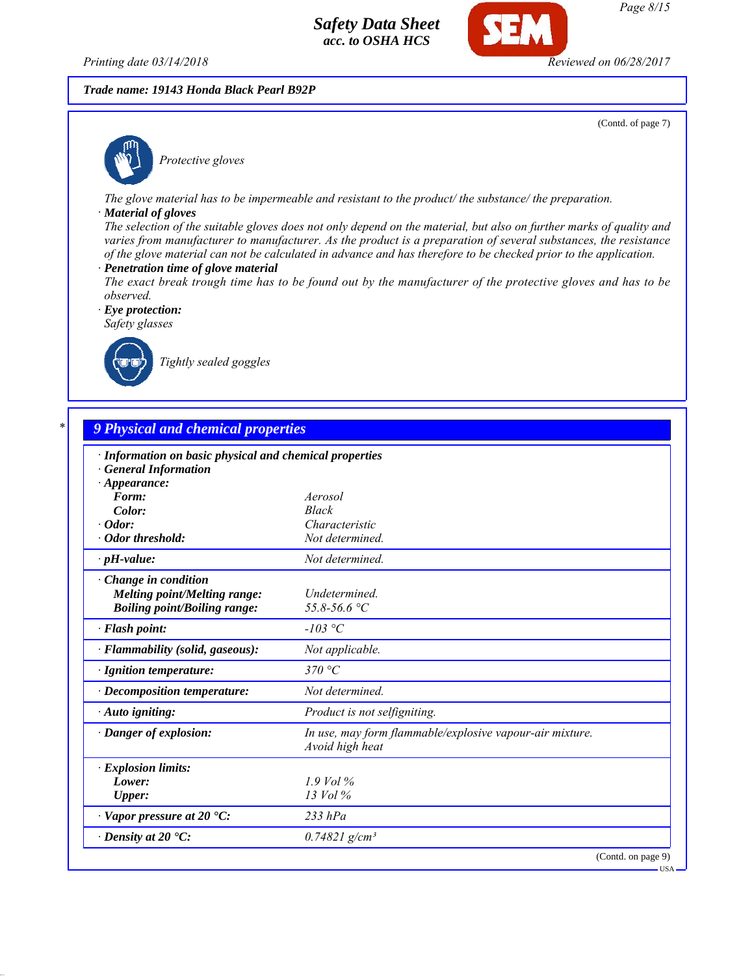*Printing date 03/14/2018 Reviewed on 06/28/2017*

#### *Trade name: 19143 Honda Black Pearl B92P*

(Contd. of page 7)



*Protective gloves*

*The glove material has to be impermeable and resistant to the product/ the substance/ the preparation.*

#### *· Material of gloves*

*The selection of the suitable gloves does not only depend on the material, but also on further marks of quality and varies from manufacturer to manufacturer. As the product is a preparation of several substances, the resistance of the glove material can not be calculated in advance and has therefore to be checked prior to the application.*

- *· Penetration time of glove material*
- *The exact break trough time has to be found out by the manufacturer of the protective gloves and has to be observed.*

*· Eye protection: Safety glasses*



*Tightly sealed goggles*

| · Information on basic physical and chemical properties |                                                                             |  |
|---------------------------------------------------------|-----------------------------------------------------------------------------|--|
| <b>General Information</b>                              |                                                                             |  |
| $\cdot$ Appearance:                                     |                                                                             |  |
| Form:                                                   | Aerosol                                                                     |  |
| Color:                                                  | <b>Black</b>                                                                |  |
| Odor:                                                   | Characteristic                                                              |  |
| · Odor threshold:                                       | Not determined.                                                             |  |
| $\cdot$ pH-value:                                       | Not determined.                                                             |  |
| Change in condition                                     |                                                                             |  |
| <b>Melting point/Melting range:</b>                     | Undetermined.                                                               |  |
| <b>Boiling point/Boiling range:</b>                     | 55.8-56.6 °C                                                                |  |
| · Flash point:                                          | $-103$ °C                                                                   |  |
| · Flammability (solid, gaseous):                        | Not applicable.                                                             |  |
| · Ignition temperature:                                 | 370 °C                                                                      |  |
| · Decomposition temperature:                            | Not determined.                                                             |  |
| · Auto igniting:                                        | Product is not selfigniting.                                                |  |
| · Danger of explosion:                                  | In use, may form flammable/explosive vapour-air mixture.<br>Avoid high heat |  |
| · Explosion limits:                                     |                                                                             |  |
| Lower:                                                  | $1.9$ Vol %                                                                 |  |
| Upper:                                                  | 13 Vol %                                                                    |  |
| $\cdot$ Vapor pressure at 20 $\cdot$ C:                 | $233$ $hPa$                                                                 |  |
| $\cdot$ Density at 20 $\cdot$ C:                        | $0.74821$ g/cm <sup>3</sup>                                                 |  |

*Page 8/15*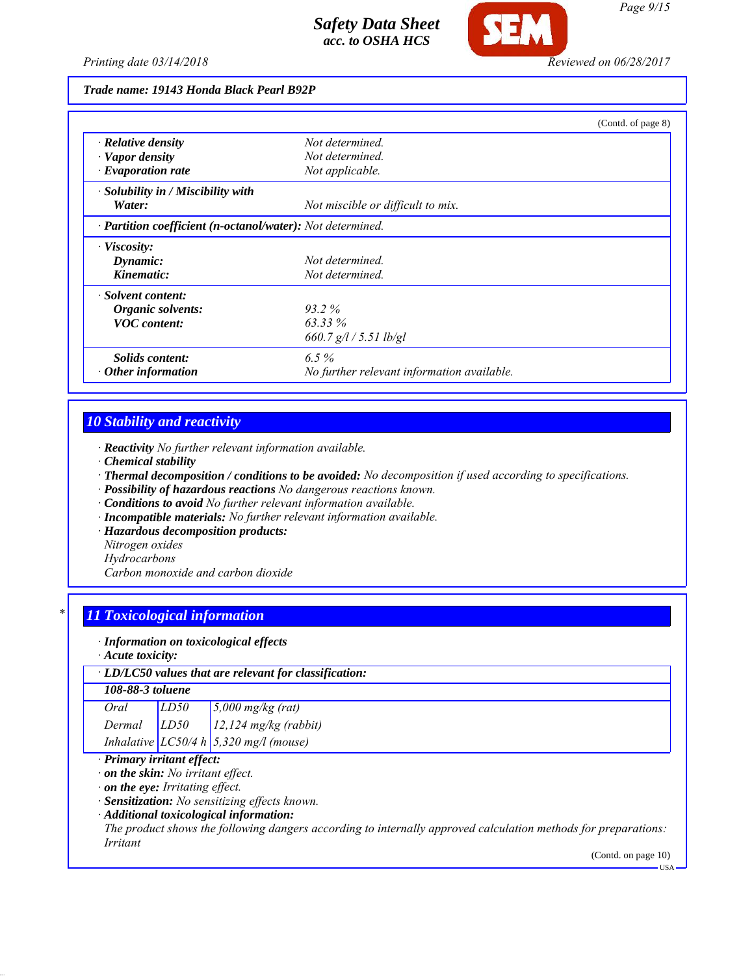

*Trade name: 19143 Honda Black Pearl B92P*

|                                                            |                                            | (Contd. of page 8) |
|------------------------------------------------------------|--------------------------------------------|--------------------|
| $\cdot$ Relative density                                   | Not determined.                            |                    |
| · Vapor density                                            | Not determined.                            |                    |
| $\cdot$ Evaporation rate                                   | Not applicable.                            |                    |
| · Solubility in / Miscibility with                         |                                            |                    |
| Water:                                                     | Not miscible or difficult to mix.          |                    |
| · Partition coefficient (n-octanol/water): Not determined. |                                            |                    |
| $\cdot$ Viscosity:                                         |                                            |                    |
| Dynamic:                                                   | Not determined.                            |                    |
| Kinematic:                                                 | Not determined.                            |                    |
| · Solvent content:                                         |                                            |                    |
| Organic solvents:                                          | 93.2%                                      |                    |
| <b>VOC</b> content:                                        | $63.33\%$                                  |                    |
|                                                            | 660.7 $g/l / 5.51$ lb/gl                   |                    |
| <i>Solids content:</i>                                     | $6.5\%$                                    |                    |
| $\cdot$ Other information                                  | No further relevant information available. |                    |

# *10 Stability and reactivity*

*· Reactivity No further relevant information available.*

- *· Chemical stability*
- *· Thermal decomposition / conditions to be avoided: No decomposition if used according to specifications.*
- *· Possibility of hazardous reactions No dangerous reactions known.*
- *· Conditions to avoid No further relevant information available.*
- *· Incompatible materials: No further relevant information available.*
- *· Hazardous decomposition products:*
- *Nitrogen oxides*
- *Hydrocarbons*

*Carbon monoxide and carbon dioxide*

# *\* 11 Toxicological information*

*· Information on toxicological effects*

*· Acute toxicity:*

### *· LD/LC50 values that are relevant for classification:*

#### *108-88-3 toluene*

| Oral   | LD50 | $5,000$ mg/kg (rat)                        |
|--------|------|--------------------------------------------|
| Dermal | LD50 | $12.124$ mg/kg (rabbit)                    |
|        |      | Inhalative $LC50/4 h   5,320 mg/l$ (mouse) |

## *· Primary irritant effect:*

*· on the skin: No irritant effect.*

*· on the eye: Irritating effect.*

*· Sensitization: No sensitizing effects known.*

*· Additional toxicological information:*

*The product shows the following dangers according to internally approved calculation methods for preparations: Irritant*

(Contd. on page 10)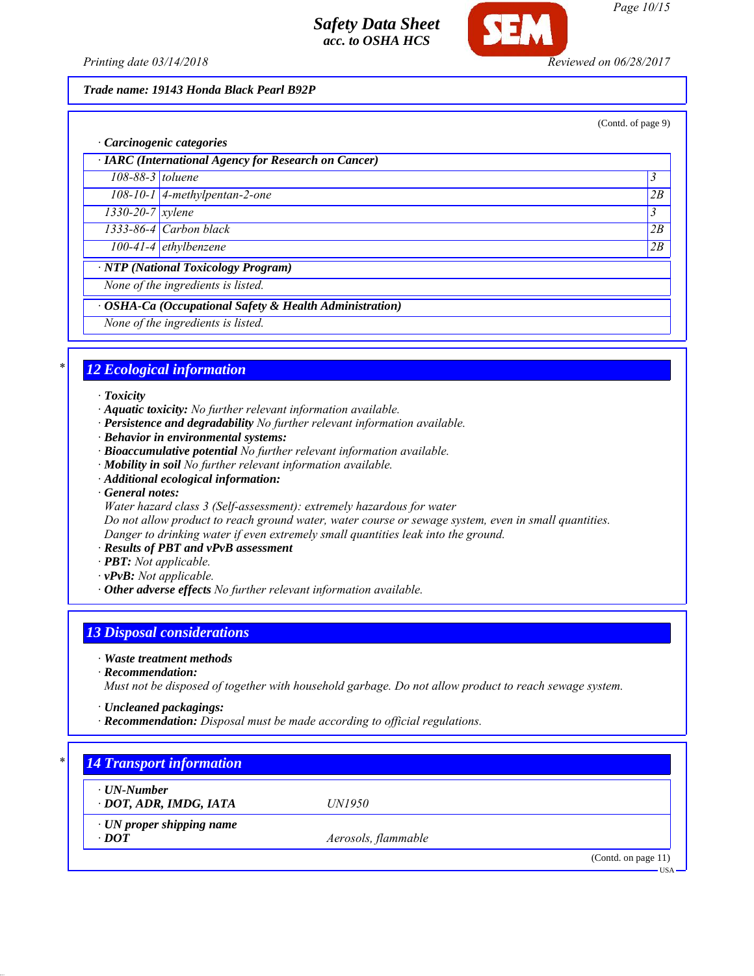

*Page 10/15*

*Printing date 03/14/2018 Reviewed on 06/28/2017*

## *Trade name: 19143 Honda Black Pearl B92P*

(Contd. of page 9)

|                               | · Carcinogenic categories                               |                |
|-------------------------------|---------------------------------------------------------|----------------|
|                               | · IARC (International Agency for Research on Cancer)    |                |
| $108-88-3$ toluene            |                                                         | 3              |
|                               | 108-10-1 4-methylpentan-2-one                           | 2B             |
| $1330 - 20 - 7$ <i>xylene</i> |                                                         | $\mathfrak{Z}$ |
|                               | $1333-86-4$ Carbon black                                | 2B             |
|                               | $100-41-4$ ethylbenzene                                 | 2B             |
|                               | · NTP (National Toxicology Program)                     |                |
|                               | None of the ingredients is listed.                      |                |
|                               | · OSHA-Ca (Occupational Safety & Health Administration) |                |
|                               | None of the ingredients is listed.                      |                |

# *\* 12 Ecological information*

*· Toxicity*

- *· Aquatic toxicity: No further relevant information available.*
- *· Persistence and degradability No further relevant information available.*
- *· Behavior in environmental systems:*
- *· Bioaccumulative potential No further relevant information available.*
- *· Mobility in soil No further relevant information available.*
- *· Additional ecological information:*
- *· General notes:*
- *Water hazard class 3 (Self-assessment): extremely hazardous for water*

*Do not allow product to reach ground water, water course or sewage system, even in small quantities. Danger to drinking water if even extremely small quantities leak into the ground.*

- *· Results of PBT and vPvB assessment*
- *· PBT: Not applicable.*
- *· vPvB: Not applicable.*
- *· Other adverse effects No further relevant information available.*

## *13 Disposal considerations*

*· Waste treatment methods*

*· Recommendation:*

*Must not be disposed of together with household garbage. Do not allow product to reach sewage system.*

- *· Uncleaned packagings:*
- *· Recommendation: Disposal must be made according to official regulations.*

| $\cdot$ UN-Number               |                     |  |
|---------------------------------|---------------------|--|
| · DOT, ADR, IMDG, IATA          | <i>UN1950</i>       |  |
| $\cdot$ UN proper shipping name |                     |  |
| $\cdot$ DOT                     | Aerosols, flammable |  |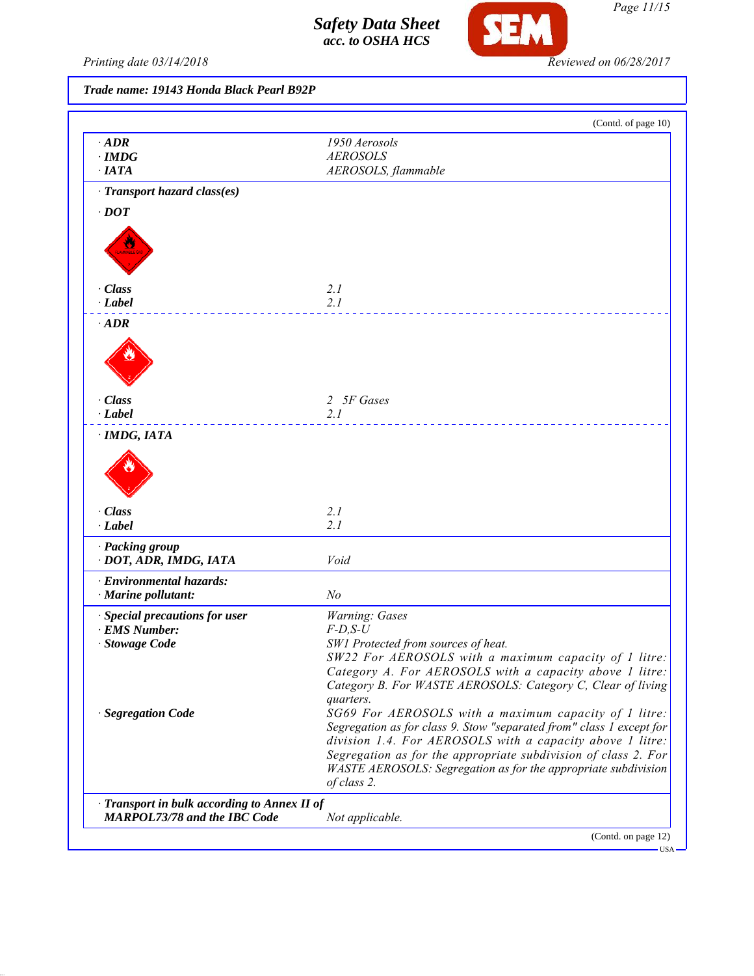

*Page 11/15*

*Printing date 03/14/2018 Reviewed on 06/28/2017*

*Trade name: 19143 Honda Black Pearl B92P*

|                                              | (Contd. of page 10)                                                  |
|----------------------------------------------|----------------------------------------------------------------------|
| $\cdot$ ADR                                  | 1950 Aerosols                                                        |
| $\cdot$ IMDG                                 | <b>AEROSOLS</b>                                                      |
| $\cdot$ IATA                                 | AEROSOLS, flammable                                                  |
| $\cdot$ Transport hazard class(es)           |                                                                      |
| $\cdot$ DOT                                  |                                                                      |
|                                              |                                                                      |
|                                              |                                                                      |
|                                              |                                                                      |
| · Class                                      | 2.1                                                                  |
| $-Label$                                     | 2.1                                                                  |
| $\cdot$ ADR                                  |                                                                      |
|                                              |                                                                      |
|                                              |                                                                      |
|                                              |                                                                      |
| · Class                                      | 2 5F Gases                                                           |
| $\cdot$ Label                                | 2.1                                                                  |
| · IMDG, IATA                                 |                                                                      |
|                                              |                                                                      |
|                                              |                                                                      |
| · Class                                      | 2.1                                                                  |
| $\cdot$ Label                                | 2.1                                                                  |
| · Packing group                              |                                                                      |
| · DOT, ADR, IMDG, IATA                       | Void                                                                 |
| · Environmental hazards:                     |                                                                      |
| · Marine pollutant:                          | N <sub>o</sub>                                                       |
| Special precautions for user                 | Warning: Gases                                                       |
| · EMS Number:                                | $F$ -D,S-U                                                           |
| · Stowage Code                               | SW1 Protected from sources of heat.                                  |
|                                              | SW22 For AEROSOLS with a maximum capacity of 1 litre:                |
|                                              | Category A. For AEROSOLS with a capacity above 1 litre:              |
|                                              | Category B. For WASTE AEROSOLS: Category C, Clear of living          |
| · Segregation Code                           | quarters.<br>SG69 For AEROSOLS with a maximum capacity of 1 litre:   |
|                                              | Segregation as for class 9. Stow "separated from" class 1 except for |
|                                              | division 1.4. For AEROSOLS with a capacity above 1 litre:            |
|                                              | Segregation as for the appropriate subdivision of class 2. For       |
|                                              | WASTE AEROSOLS: Segregation as for the appropriate subdivision       |
|                                              | of class 2.                                                          |
| · Transport in bulk according to Annex II of |                                                                      |
| <b>MARPOL73/78 and the IBC Code</b>          | Not applicable.                                                      |
|                                              |                                                                      |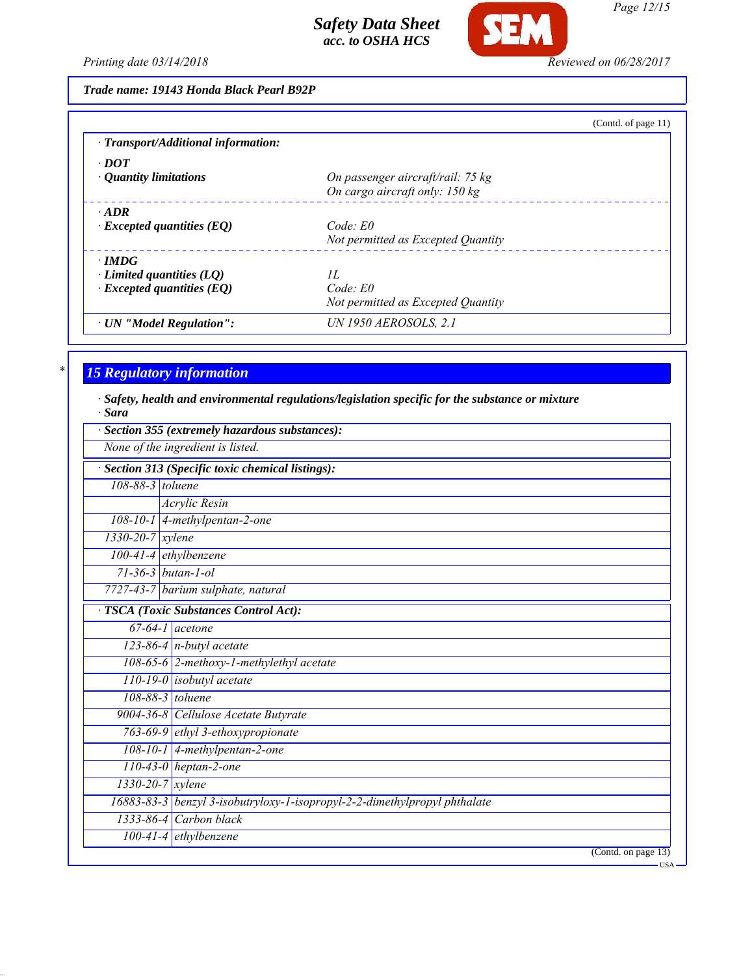

*Page 12/15*

*Printing date 03/14/2018 Reviewed on 06/28/2017*

| Trade name: 19143 Honda Black Pearl B92P |  |  |  |  |
|------------------------------------------|--|--|--|--|
|------------------------------------------|--|--|--|--|

|                                     | (Contd. of page $11$ )             |
|-------------------------------------|------------------------------------|
| · Transport/Additional information: |                                    |
| $\cdot$ DOT                         |                                    |
| $\cdot$ Quantity limitations        | On passenger aircraft/rail: 75 kg  |
|                                     | On cargo aircraft only: 150 kg     |
| $\cdot$ ADR                         |                                    |
| $\cdot$ Excepted quantities (EQ)    | Code: E0                           |
|                                     | Not permitted as Excepted Quantity |
| $\cdot$ IMDG                        |                                    |
| $\cdot$ Limited quantities (LO)     | II.                                |
| $\cdot$ Excepted quantities (EQ)    | $Code$ $E0$                        |
|                                     | Not permitted as Excepted Quantity |
| · UN "Model Regulation":            | UN 1950 AEROSOLS, 2.1              |

# *\* 15 Regulatory information*

*· Safety, health and environmental regulations/legislation specific for the substance or mixture · Sara*

|                  | Section 355 (extremely hazardous substances):                             |
|------------------|---------------------------------------------------------------------------|
|                  | None of the ingredient is listed.                                         |
|                  | Section 313 (Specific toxic chemical listings):                           |
| 108-88-3 toluene |                                                                           |
|                  | Acrylic Resin                                                             |
|                  | $108-10-1$ 4-methylpentan-2-one                                           |
| 1330-20-7 xylene |                                                                           |
|                  | 100-41-4 ethylbenzene                                                     |
|                  | $71 - 36 - 3$ butan-1-ol                                                  |
|                  | 7727-43-7 barium sulphate, natural                                        |
|                  | TSCA (Toxic Substances Control Act):                                      |
|                  | $67-64-1$ acetone                                                         |
|                  | $123-86-4$ n-butyl acetate                                                |
|                  | 108-65-6 2-methoxy-1-methylethyl acetate                                  |
|                  | $110-19-0$ isobutyl acetate                                               |
|                  | 108-88-3 toluene                                                          |
|                  | 9004-36-8 Cellulose Acetate Butyrate                                      |
|                  | 763-69-9 ethyl 3-ethoxypropionate                                         |
|                  | 108-10-1 4-methylpentan-2-one                                             |
|                  | $110-43-0$ heptan-2-one                                                   |
|                  | 1330-20-7 xylene                                                          |
|                  | 16883-83-3 benzyl 3-isobutryloxy-1-isopropyl-2-2-dimethylpropyl phthalate |
|                  | 1333-86-4 Carbon black                                                    |
|                  | $100-41-4$ ethylbenzene                                                   |
|                  | (Contd. on page 13)<br>$\overline{\phantom{A}}$ USA                       |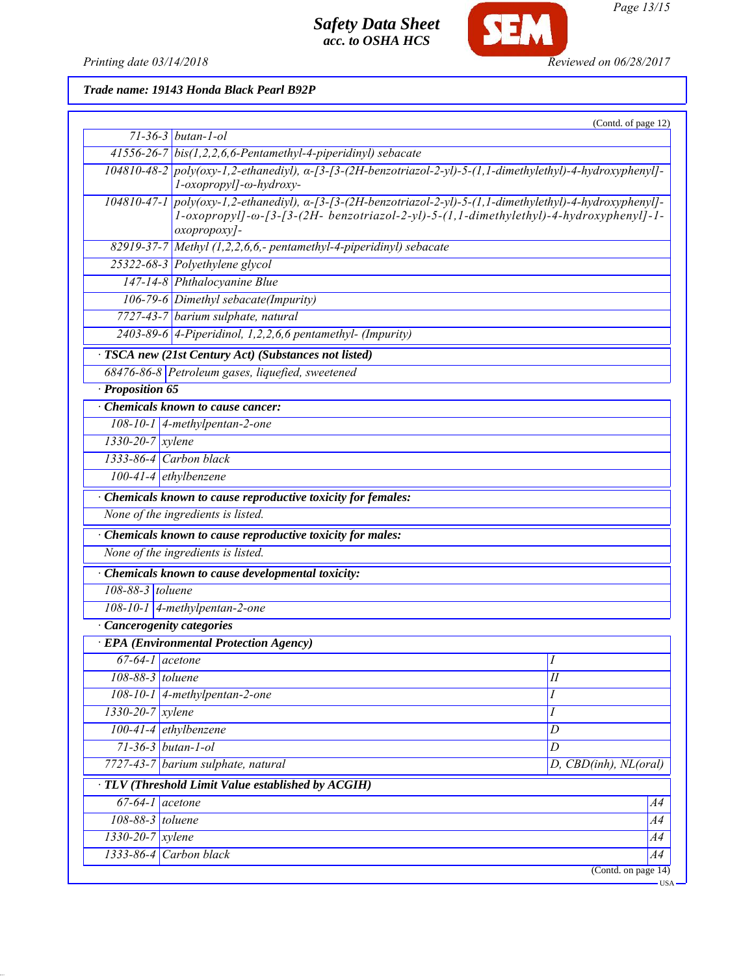*Printing date 03/14/2018 Reviewed on 06/28/2017*

SEM

*Trade name: 19143 Honda Black Pearl B92P*

|                               |                                                                                                                                                                                                                                           | (Contd. of page 12)   |  |
|-------------------------------|-------------------------------------------------------------------------------------------------------------------------------------------------------------------------------------------------------------------------------------------|-----------------------|--|
|                               | $71 - 36 - 3$ butan-1-ol                                                                                                                                                                                                                  |                       |  |
|                               | 41556-26-7 bis(1,2,2,6,6-Pentamethyl-4-piperidinyl) sebacate                                                                                                                                                                              |                       |  |
|                               | 104810-48-2 poly(oxy-1,2-ethanediyl), a-[3-[3-(2H-benzotriazol-2-yl)-5-(1,1-dimethylethyl)-4-hydroxyphenyl]-<br>l-oxopropyl]-ω-hydroxy-                                                                                                   |                       |  |
|                               | $104810-47-1$ poly(oxy-1,2-ethanediyl), $\alpha$ -[3-[3-(2H-benzotriazol-2-yl)-5-(1,1-dimethylethyl)-4-hydroxyphenyl]-<br>1-oxopropyl]- $\omega$ -[3-[3-(2H- benzotriazol-2-yl)-5-(1,1-dimethylethyl)-4-hydroxyphenyl]-1-<br>oxopropoxy]- |                       |  |
|                               | 82919-37-7 Methyl (1,2,2,6,6,- pentamethyl-4-piperidinyl) sebacate                                                                                                                                                                        |                       |  |
|                               | 25322-68-3 Polyethylene glycol                                                                                                                                                                                                            |                       |  |
|                               | 147-14-8 Phthalocyanine Blue                                                                                                                                                                                                              |                       |  |
|                               | 106-79-6 Dimethyl sebacate(Impurity)                                                                                                                                                                                                      |                       |  |
|                               | 7727-43-7 barium sulphate, natural                                                                                                                                                                                                        |                       |  |
|                               | $\overline{2403-89-6}$ 4-Piperidinol, 1,2,2,6,6 pentamethyl- (Impurity)                                                                                                                                                                   |                       |  |
|                               | · TSCA new (21st Century Act) (Substances not listed)                                                                                                                                                                                     |                       |  |
|                               | 68476-86-8 Petroleum gases, liquefied, sweetened                                                                                                                                                                                          |                       |  |
| · Proposition 65              |                                                                                                                                                                                                                                           |                       |  |
|                               | Chemicals known to cause cancer:                                                                                                                                                                                                          |                       |  |
|                               | $108-10-1$ 4-methylpentan-2-one                                                                                                                                                                                                           |                       |  |
| $1330 - 20 - 7$ <i>xylene</i> |                                                                                                                                                                                                                                           |                       |  |
|                               | $1333-86-4$ Carbon black                                                                                                                                                                                                                  |                       |  |
| $100-41-4$ ethylbenzene       |                                                                                                                                                                                                                                           |                       |  |
|                               | Chemicals known to cause reproductive toxicity for females:                                                                                                                                                                               |                       |  |
|                               | None of the ingredients is listed.                                                                                                                                                                                                        |                       |  |
|                               | · Chemicals known to cause reproductive toxicity for males:                                                                                                                                                                               |                       |  |
|                               | None of the ingredients is listed.                                                                                                                                                                                                        |                       |  |
|                               | Chemicals known to cause developmental toxicity:                                                                                                                                                                                          |                       |  |
| 108-88-3 toluene              |                                                                                                                                                                                                                                           |                       |  |
|                               | 108-10-1 4-methylpentan-2-one                                                                                                                                                                                                             |                       |  |
| · Cancerogenity categories    |                                                                                                                                                                                                                                           |                       |  |
|                               | · EPA (Environmental Protection Agency)                                                                                                                                                                                                   |                       |  |
| $67-64-1$ acetone             |                                                                                                                                                                                                                                           | $\boldsymbol{I}$      |  |
| 108-88-3 toluene              |                                                                                                                                                                                                                                           | $I\!I$                |  |
|                               | 108-10-1 4-methylpentan-2-one                                                                                                                                                                                                             | I                     |  |
| $1330 - 20 - 7$ xylene        |                                                                                                                                                                                                                                           | I                     |  |
|                               | 100-41-4 ethylbenzene                                                                                                                                                                                                                     | D                     |  |
| $71 - 36 - 3$ butan-1-ol      |                                                                                                                                                                                                                                           | D                     |  |
|                               | 7727-43-7 barium sulphate, natural                                                                                                                                                                                                        | D, CBD(inh), NL(oral) |  |
|                               | TLV (Threshold Limit Value established by ACGIH)                                                                                                                                                                                          |                       |  |
| $67-64-1$ acetone             |                                                                                                                                                                                                                                           | A4                    |  |
| 108-88-3 toluene              |                                                                                                                                                                                                                                           | A4                    |  |
| $1330 - 20 - 7$ xylene        |                                                                                                                                                                                                                                           | A4                    |  |
| 1333-86-4 Carbon black        |                                                                                                                                                                                                                                           | A4                    |  |
|                               |                                                                                                                                                                                                                                           | (Contd. on page 14)   |  |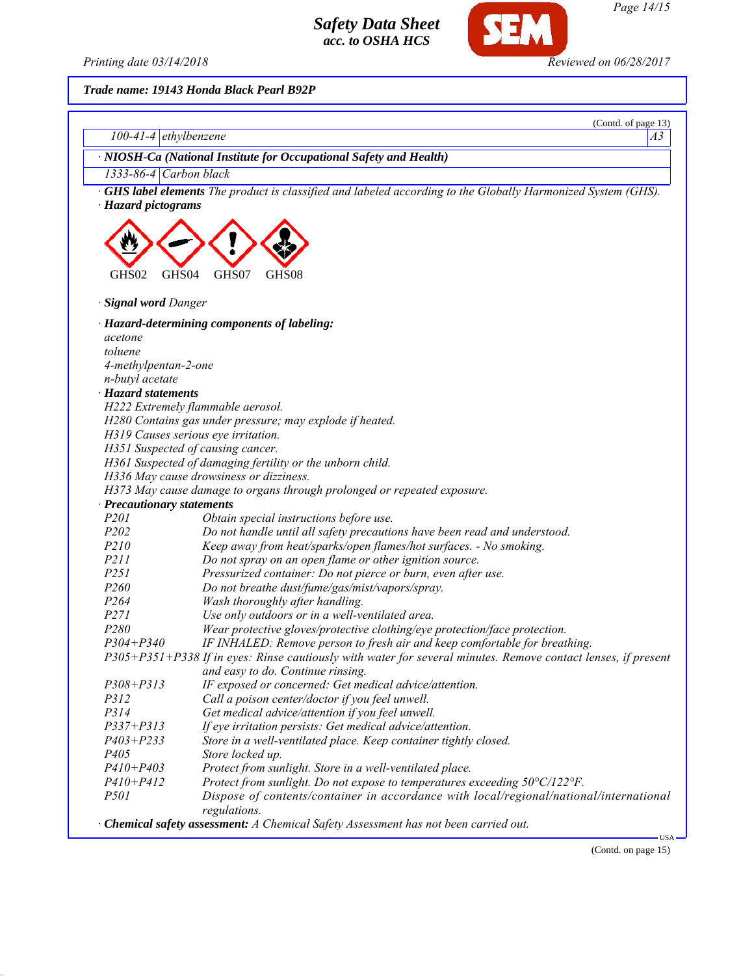

**SEM** 

*Trade name: 19143 Honda Black Pearl B92P*

|                                    | (Contd. of page 13)                                                                                                      |
|------------------------------------|--------------------------------------------------------------------------------------------------------------------------|
| $100-41-4$ ethylbenzene            | A3                                                                                                                       |
|                                    | · NIOSH-Ca (National Institute for Occupational Safety and Health)                                                       |
| $1333-86-4$ Carbon black           |                                                                                                                          |
| · Hazard pictograms                | · GHS label elements The product is classified and labeled according to the Globally Harmonized System (GHS).            |
| GHS02<br>GHS04                     | GHS07<br>GHS08                                                                                                           |
| · Signal word Danger               |                                                                                                                          |
|                                    | · Hazard-determining components of labeling:                                                                             |
| acetone                            |                                                                                                                          |
| toluene                            |                                                                                                                          |
| 4-methylpentan-2-one               |                                                                                                                          |
| n-butyl acetate                    |                                                                                                                          |
| · Hazard statements                |                                                                                                                          |
|                                    | H222 Extremely flammable aerosol.                                                                                        |
|                                    | H280 Contains gas under pressure; may explode if heated.                                                                 |
|                                    | H319 Causes serious eye irritation.                                                                                      |
|                                    | H351 Suspected of causing cancer.                                                                                        |
|                                    | H361 Suspected of damaging fertility or the unborn child.                                                                |
|                                    | H336 May cause drowsiness or dizziness.                                                                                  |
|                                    | H373 May cause damage to organs through prolonged or repeated exposure.                                                  |
| · Precautionary statements<br>P201 |                                                                                                                          |
| P202                               | Obtain special instructions before use.<br>Do not handle until all safety precautions have been read and understood.     |
| P210                               | Keep away from heat/sparks/open flames/hot surfaces. - No smoking.                                                       |
| P211                               |                                                                                                                          |
| P251                               | Do not spray on an open flame or other ignition source.<br>Pressurized container: Do not pierce or burn, even after use. |
| P260                               | Do not breathe dust/fume/gas/mist/vapors/spray.                                                                          |
| P <sub>264</sub>                   | Wash thoroughly after handling.                                                                                          |
| P271                               | Use only outdoors or in a well-ventilated area.                                                                          |
| P280                               | Wear protective gloves/protective clothing/eye protection/face protection.                                               |
| $P304 + P340$                      | IF INHALED: Remove person to fresh air and keep comfortable for breathing.                                               |
|                                    | P305+P351+P338 If in eyes: Rinse cautiously with water for several minutes. Remove contact lenses, if present            |
|                                    | and easy to do. Continue rinsing.                                                                                        |
| $P308 + P313$                      | IF exposed or concerned: Get medical advice/attention.                                                                   |
| <i>P312</i>                        | Call a poison center/doctor if you feel unwell.                                                                          |
| P314                               | Get medical advice/attention if you feel unwell.                                                                         |
| $P337 + P313$                      | If eye irritation persists: Get medical advice/attention.                                                                |
| $P403 + P233$                      | Store in a well-ventilated place. Keep container tightly closed.                                                         |
| P <sub>405</sub>                   | Store locked up.                                                                                                         |
| $P410 + P403$                      | Protect from sunlight. Store in a well-ventilated place.                                                                 |
| $P410 + P412$                      | Protect from sunlight. Do not expose to temperatures exceeding 50°C/122°F.                                               |
| <i>P501</i>                        | Dispose of contents/container in accordance with local/regional/national/international<br>regulations.                   |
|                                    | · Chemical safety assessment: A Chemical Safety Assessment has not been carried out.                                     |

(Contd. on page 15)